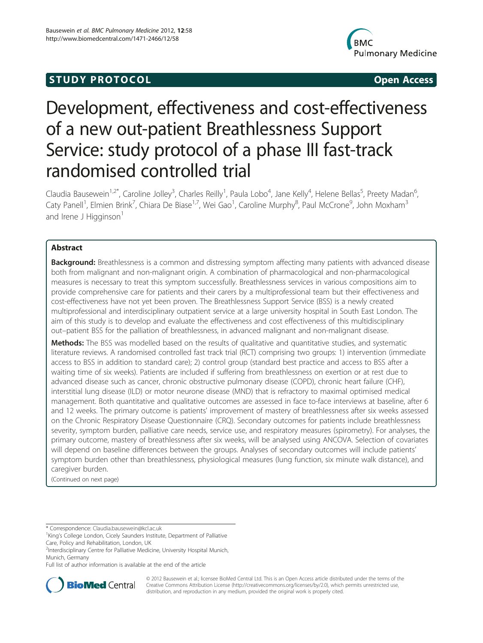# **STUDY PROTOCOL CONSUMING THE STUDY PROTOCOL**



# Development, effectiveness and cost-effectiveness of a new out-patient Breathlessness Support Service: study protocol of a phase III fast-track randomised controlled trial

Claudia Bausewein<sup>1,2\*</sup>, Caroline Jolley<sup>3</sup>, Charles Reilly<sup>1</sup>, Paula Lobo<sup>4</sup>, Jane Kelly<sup>4</sup>, Helene Bellas<sup>5</sup>, Preety Madan<sup>6</sup> , Caty Panell<sup>1</sup>, Elmien Brink<sup>7</sup>, Chiara De Biase<sup>1,7</sup>, Wei Gao<sup>1</sup>, Caroline Murphy<sup>8</sup>, Paul McCrone<sup>9</sup>, John Moxham<sup>3</sup> and Irene J Higginson $<sup>1</sup>$ </sup>

# Abstract

Background: Breathlessness is a common and distressing symptom affecting many patients with advanced disease both from malignant and non-malignant origin. A combination of pharmacological and non-pharmacological measures is necessary to treat this symptom successfully. Breathlessness services in various compositions aim to provide comprehensive care for patients and their carers by a multiprofessional team but their effectiveness and cost-effectiveness have not yet been proven. The Breathlessness Support Service (BSS) is a newly created multiprofessional and interdisciplinary outpatient service at a large university hospital in South East London. The aim of this study is to develop and evaluate the effectiveness and cost effectiveness of this multidisciplinary out–patient BSS for the palliation of breathlessness, in advanced malignant and non-malignant disease.

Methods: The BSS was modelled based on the results of qualitative and quantitative studies, and systematic literature reviews. A randomised controlled fast track trial (RCT) comprising two groups: 1) intervention (immediate access to BSS in addition to standard care); 2) control group (standard best practice and access to BSS after a waiting time of six weeks). Patients are included if suffering from breathlessness on exertion or at rest due to advanced disease such as cancer, chronic obstructive pulmonary disease (COPD), chronic heart failure (CHF), interstitial lung disease (ILD) or motor neurone disease (MND) that is refractory to maximal optimised medical management. Both quantitative and qualitative outcomes are assessed in face to-face interviews at baseline, after 6 and 12 weeks. The primary outcome is patients' improvement of mastery of breathlessness after six weeks assessed on the Chronic Respiratory Disease Questionnaire (CRQ). Secondary outcomes for patients include breathlessness severity, symptom burden, palliative care needs, service use, and respiratory measures (spirometry). For analyses, the primary outcome, mastery of breathlessness after six weeks, will be analysed using ANCOVA. Selection of covariates will depend on baseline differences between the groups. Analyses of secondary outcomes will include patients' symptom burden other than breathlessness, physiological measures (lung function, six minute walk distance), and caregiver burden.

(Continued on next page)

Full list of author information is available at the end of the article



© 2012 Bausewein et al.; licensee BioMed Central Ltd. This is an Open Access article distributed under the terms of the Creative Commons Attribution License (<http://creativecommons.org/licenses/by/2.0>), which permits unrestricted use, distribution, and reproduction in any medium, provided the original work is properly cited.

<sup>\*</sup> Correspondence: [Claudia.bausewein@kcl.ac.uk](mailto:Claudia.bausewein@kcl.ac.uk) <sup>1</sup>

<sup>&</sup>lt;sup>1</sup>King's College London, Cicely Saunders Institute, Department of Palliative Care, Policy and Rehabilitation, London, UK

<sup>&</sup>lt;sup>2</sup>Interdisciplinary Centre for Palliative Medicine, University Hospital Munich, Munich, Germany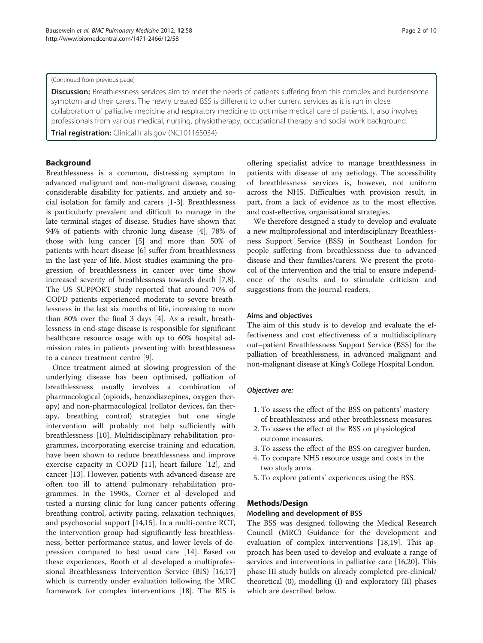#### (Continued from previous page)

Discussion: Breathlessness services aim to meet the needs of patients suffering from this complex and burdensome symptom and their carers. The newly created BSS is different to other current services as it is run in close collaboration of palliative medicine and respiratory medicine to optimise medical care of patients. It also involves professionals from various medical, nursing, physiotherapy, occupational therapy and social work background.

Trial registration: ClinicalTrials.gov (NCT01165034)

# Background

Breathlessness is a common, distressing symptom in advanced malignant and non-malignant disease, causing considerable disability for patients, and anxiety and social isolation for family and carers [\[1-3](#page-8-0)]. Breathlessness is particularly prevalent and difficult to manage in the late terminal stages of disease. Studies have shown that 94% of patients with chronic lung disease [[4\]](#page-8-0), 78% of those with lung cancer [\[5](#page-8-0)] and more than 50% of patients with heart disease [\[6](#page-8-0)] suffer from breathlessness in the last year of life. Most studies examining the progression of breathlessness in cancer over time show increased severity of breathlessness towards death [\[7,8](#page-8-0)]. The US SUPPORT study reported that around 70% of COPD patients experienced moderate to severe breathlessness in the last six months of life, increasing to more than 80% over the final 3 days [\[4](#page-8-0)]. As a result, breathlessness in end-stage disease is responsible for significant healthcare resource usage with up to 60% hospital admission rates in patients presenting with breathlessness to a cancer treatment centre [\[9](#page-8-0)].

Once treatment aimed at slowing progression of the underlying disease has been optimised, palliation of breathlessness usually involves a combination of pharmacological (opioids, benzodiazepines, oxygen therapy) and non-pharmacological (rollator devices, fan therapy, breathing control) strategies but one single intervention will probably not help sufficiently with breathlessness [[10\]](#page-8-0). Multidisciplinary rehabilitation programmes, incorporating exercise training and education, have been shown to reduce breathlessness and improve exercise capacity in COPD [[11\]](#page-8-0), heart failure [[12\]](#page-8-0), and cancer [[13](#page-8-0)]. However, patients with advanced disease are often too ill to attend pulmonary rehabilitation programmes. In the 1990s, Corner et al developed and tested a nursing clinic for lung cancer patients offering breathing control, activity pacing, relaxation techniques, and psychosocial support [[14](#page-8-0),[15](#page-8-0)]. In a multi-centre RCT, the intervention group had significantly less breathlessness, better performance status, and lower levels of depression compared to best usual care [\[14\]](#page-8-0). Based on these experiences, Booth et al developed a multiprofessional Breathlessness Intervention Service (BIS) [[16](#page-8-0),[17](#page-8-0)] which is currently under evaluation following the MRC framework for complex interventions [[18\]](#page-8-0). The BIS is

offering specialist advice to manage breathlessness in patients with disease of any aetiology. The accessibility of breathlessness services is, however, not uniform across the NHS. Difficulties with provision result, in part, from a lack of evidence as to the most effective, and cost-effective, organisational strategies.

We therefore designed a study to develop and evaluate a new multiprofessional and interdisciplinary Breathlessness Support Service (BSS) in Southeast London for people suffering from breathlessness due to advanced disease and their families/carers. We present the protocol of the intervention and the trial to ensure independence of the results and to stimulate criticism and suggestions from the journal readers.

#### Aims and objectives

The aim of this study is to develop and evaluate the effectiveness and cost effectiveness of a multidisciplinary out–patient Breathlessness Support Service (BSS) for the palliation of breathlessness, in advanced malignant and non-malignant disease at King's College Hospital London.

#### Objectives are:

- 1. To assess the effect of the BSS on patients' mastery of breathlessness and other breathlessness measures.
- 2. To assess the effect of the BSS on physiological outcome measures.
- 3. To assess the effect of the BSS on caregiver burden.
- 4. To compare NHS resource usage and costs in the two study arms.
- 5. To explore patients' experiences using the BSS.

#### Methods/Design

#### Modelling and development of BSS

The BSS was designed following the Medical Research Council (MRC) Guidance for the development and evaluation of complex interventions [[18,19\]](#page-8-0). This approach has been used to develop and evaluate a range of services and interventions in palliative care [[16,20\]](#page-8-0). This phase III study builds on already completed pre-clinical/ theoretical (0), modelling (I) and exploratory (II) phases which are described below.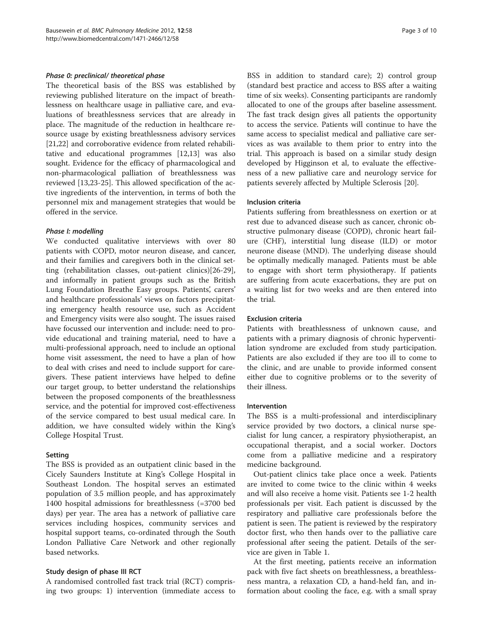#### Phase 0: preclinical/ theoretical phase

The theoretical basis of the BSS was established by reviewing published literature on the impact of breathlessness on healthcare usage in palliative care, and evaluations of breathlessness services that are already in place. The magnitude of the reduction in healthcare resource usage by existing breathlessness advisory services [[21,](#page-8-0)[22\]](#page-9-0) and corroborative evidence from related rehabilitative and educational programmes [\[12,13](#page-8-0)] was also sought. Evidence for the efficacy of pharmacological and non-pharmacological palliation of breathlessness was reviewed [[13,](#page-8-0)[23-25](#page-9-0)]. This allowed specification of the active ingredients of the intervention, in terms of both the personnel mix and management strategies that would be offered in the service.

#### Phase I: modelling

We conducted qualitative interviews with over 80 patients with COPD, motor neuron disease, and cancer, and their families and caregivers both in the clinical setting (rehabilitation classes, out-patient clinics)[\[26-29](#page-9-0)], and informally in patient groups such as the British Lung Foundation Breathe Easy groups. Patients', carers' and healthcare professionals' views on factors precipitating emergency health resource use, such as Accident and Emergency visits were also sought. The issues raised have focussed our intervention and include: need to provide educational and training material, need to have a multi-professional approach, need to include an optional home visit assessment, the need to have a plan of how to deal with crises and need to include support for caregivers. These patient interviews have helped to define our target group, to better understand the relationships between the proposed components of the breathlessness service, and the potential for improved cost-effectiveness of the service compared to best usual medical care. In addition, we have consulted widely within the King's College Hospital Trust.

#### Setting

The BSS is provided as an outpatient clinic based in the Cicely Saunders Institute at King's College Hospital in Southeast London. The hospital serves an estimated population of 3.5 million people, and has approximately 1400 hospital admissions for breathlessness (=3700 bed days) per year. The area has a network of palliative care services including hospices, community services and hospital support teams, co-ordinated through the South London Palliative Care Network and other regionally based networks.

#### Study design of phase III RCT

A randomised controlled fast track trial (RCT) comprising two groups: 1) intervention (immediate access to BSS in addition to standard care); 2) control group (standard best practice and access to BSS after a waiting time of six weeks). Consenting participants are randomly allocated to one of the groups after baseline assessment. The fast track design gives all patients the opportunity to access the service. Patients will continue to have the same access to specialist medical and palliative care services as was available to them prior to entry into the trial. This approach is based on a similar study design developed by Higginson et al, to evaluate the effectiveness of a new palliative care and neurology service for patients severely affected by Multiple Sclerosis [[20](#page-8-0)].

#### Inclusion criteria

Patients suffering from breathlessness on exertion or at rest due to advanced disease such as cancer, chronic obstructive pulmonary disease (COPD), chronic heart failure (CHF), interstitial lung disease (ILD) or motor neurone disease (MND). The underlying disease should be optimally medically managed. Patients must be able to engage with short term physiotherapy. If patients are suffering from acute exacerbations, they are put on a waiting list for two weeks and are then entered into the trial.

#### Exclusion criteria

Patients with breathlessness of unknown cause, and patients with a primary diagnosis of chronic hyperventilation syndrome are excluded from study participation. Patients are also excluded if they are too ill to come to the clinic, and are unable to provide informed consent either due to cognitive problems or to the severity of their illness.

#### Intervention

The BSS is a multi-professional and interdisciplinary service provided by two doctors, a clinical nurse specialist for lung cancer, a respiratory physiotherapist, an occupational therapist, and a social worker. Doctors come from a palliative medicine and a respiratory medicine background.

Out-patient clinics take place once a week. Patients are invited to come twice to the clinic within 4 weeks and will also receive a home visit. Patients see 1-2 health professionals per visit. Each patient is discussed by the respiratory and palliative care professionals before the patient is seen. The patient is reviewed by the respiratory doctor first, who then hands over to the palliative care professional after seeing the patient. Details of the service are given in Table [1](#page-3-0).

At the first meeting, patients receive an information pack with five fact sheets on breathlessness, a breathlessness mantra, a relaxation CD, a hand-held fan, and information about cooling the face, e.g. with a small spray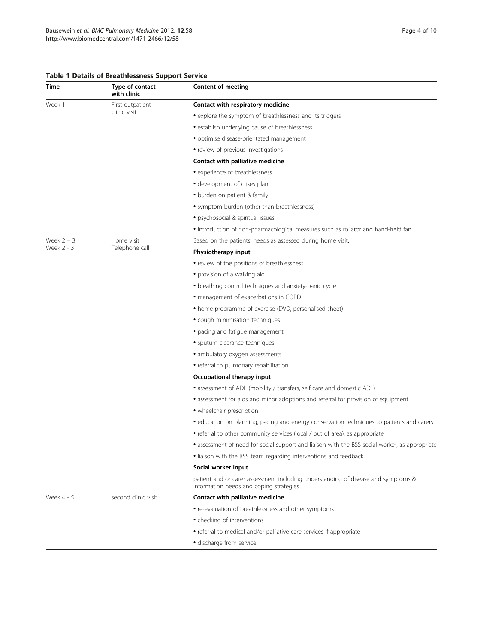# <span id="page-3-0"></span>Table 1 Details of Breathlessness Support Service

| Time                     | Type of contact<br>with clinic   | <b>Content of meeting</b>                                                                                                    |  |  |
|--------------------------|----------------------------------|------------------------------------------------------------------------------------------------------------------------------|--|--|
| Week 1                   | First outpatient<br>clinic visit | Contact with respiratory medicine                                                                                            |  |  |
|                          |                                  | • explore the symptom of breathlessness and its triggers                                                                     |  |  |
|                          |                                  | • establish underlying cause of breathlessness                                                                               |  |  |
|                          |                                  | · optimise disease-orientated management                                                                                     |  |  |
|                          |                                  | • review of previous investigations                                                                                          |  |  |
|                          |                                  | Contact with palliative medicine                                                                                             |  |  |
|                          |                                  | • experience of breathlessness                                                                                               |  |  |
|                          |                                  | • development of crises plan                                                                                                 |  |  |
|                          |                                  | • burden on patient & family                                                                                                 |  |  |
|                          |                                  | • symptom burden (other than breathlessness)                                                                                 |  |  |
|                          |                                  | · psychosocial & spiritual issues                                                                                            |  |  |
|                          |                                  | • introduction of non-pharmacological measures such as rollator and hand-held fan                                            |  |  |
| Week 2 – 3<br>Week 2 - 3 | Home visit<br>Telephone call     | Based on the patients' needs as assessed during home visit:                                                                  |  |  |
|                          |                                  | Physiotherapy input                                                                                                          |  |  |
|                          |                                  | • review of the positions of breathlessness                                                                                  |  |  |
|                          |                                  | • provision of a walking aid                                                                                                 |  |  |
|                          |                                  | • breathing control techniques and anxiety-panic cycle                                                                       |  |  |
|                          |                                  | • management of exacerbations in COPD                                                                                        |  |  |
|                          |                                  | • home programme of exercise (DVD, personalised sheet)                                                                       |  |  |
|                          |                                  | • cough minimisation techniques                                                                                              |  |  |
|                          |                                  | • pacing and fatigue management                                                                                              |  |  |
|                          |                                  | • sputum clearance techniques                                                                                                |  |  |
|                          |                                  | • ambulatory oxygen assessments                                                                                              |  |  |
|                          |                                  | • referral to pulmonary rehabilitation                                                                                       |  |  |
|                          |                                  | Occupational therapy input                                                                                                   |  |  |
|                          |                                  | • assessment of ADL (mobility / transfers, self care and domestic ADL)                                                       |  |  |
|                          |                                  | • assessment for aids and minor adoptions and referral for provision of equipment                                            |  |  |
|                          |                                  | • wheelchair prescription                                                                                                    |  |  |
|                          |                                  | • education on planning, pacing and energy conservation techniques to patients and carers                                    |  |  |
|                          |                                  | • referral to other community services (local / out of area), as appropriate                                                 |  |  |
|                          |                                  | • assessment of need for social support and liaison with the BSS social worker, as appropriate                               |  |  |
|                          |                                  | • liaison with the BSS team regarding interventions and feedback                                                             |  |  |
|                          |                                  | Social worker input                                                                                                          |  |  |
|                          |                                  | patient and or carer assessment including understanding of disease and symptoms &<br>information needs and coping strategies |  |  |
| Week 4 - 5               | second clinic visit              | Contact with palliative medicine                                                                                             |  |  |
|                          |                                  | • re-evaluation of breathlessness and other symptoms                                                                         |  |  |
|                          |                                  | • checking of interventions                                                                                                  |  |  |
|                          |                                  | • referral to medical and/or palliative care services if appropriate                                                         |  |  |
|                          |                                  | · discharge from service                                                                                                     |  |  |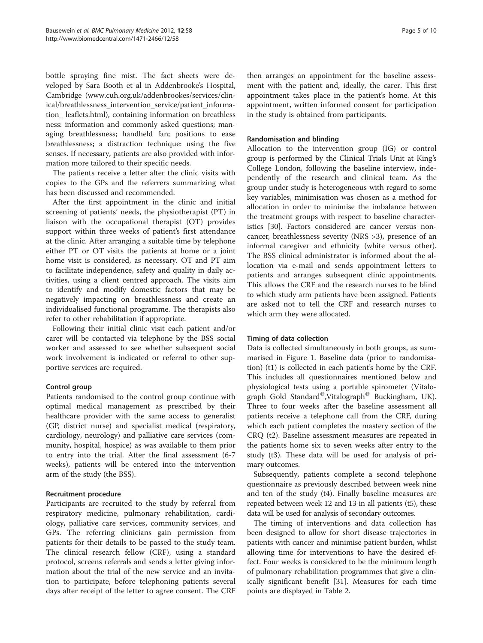bottle spraying fine mist. The fact sheets were developed by Sara Booth et al in Addenbrooke's Hospital, Cambridge [\(www.cuh.org.uk/addenbrookes/services/clin](http://www.cuh.org.uk/addenbrookes/services/clinical/breathlessness_intervention_service/patient_information_leaflets.html)[ical/breathlessness\\_intervention\\_service/patient\\_informa](http://www.cuh.org.uk/addenbrookes/services/clinical/breathlessness_intervention_service/patient_information_leaflets.html)[tion\\_ leaflets.html](http://www.cuh.org.uk/addenbrookes/services/clinical/breathlessness_intervention_service/patient_information_leaflets.html)), containing information on breathless ness: information and commonly asked questions; managing breathlessness; handheld fan; positions to ease breathlessness; a distraction technique: using the five senses. If necessary, patients are also provided with information more tailored to their specific needs.

The patients receive a letter after the clinic visits with copies to the GPs and the referrers summarizing what has been discussed and recommended.

After the first appointment in the clinic and initial screening of patients' needs, the physiotherapist (PT) in liaison with the occupational therapist (OT) provides support within three weeks of patient's first attendance at the clinic. After arranging a suitable time by telephone either PT or OT visits the patients at home or a joint home visit is considered, as necessary. OT and PT aim to facilitate independence, safety and quality in daily activities, using a client centred approach. The visits aim to identify and modify domestic factors that may be negatively impacting on breathlessness and create an individualised functional programme. The therapists also refer to other rehabilitation if appropriate.

Following their initial clinic visit each patient and/or carer will be contacted via telephone by the BSS social worker and assessed to see whether subsequent social work involvement is indicated or referral to other supportive services are required.

# Control group

Patients randomised to the control group continue with optimal medical management as prescribed by their healthcare provider with the same access to generalist (GP, district nurse) and specialist medical (respiratory, cardiology, neurology) and palliative care services (community, hospital, hospice) as was available to them prior to entry into the trial. After the final assessment (6-7 weeks), patients will be entered into the intervention arm of the study (the BSS).

# Recruitment procedure

Participants are recruited to the study by referral from respiratory medicine, pulmonary rehabilitation, cardiology, palliative care services, community services, and GPs. The referring clinicians gain permission from patients for their details to be passed to the study team. The clinical research fellow (CRF), using a standard protocol, screens referrals and sends a letter giving information about the trial of the new service and an invitation to participate, before telephoning patients several days after receipt of the letter to agree consent. The CRF then arranges an appointment for the baseline assessment with the patient and, ideally, the carer. This first appointment takes place in the patient's home. At this appointment, written informed consent for participation in the study is obtained from participants.

# Randomisation and blinding

Allocation to the intervention group (IG) or control group is performed by the Clinical Trials Unit at King's College London, following the baseline interview, independently of the research and clinical team. As the group under study is heterogeneous with regard to some key variables, minimisation was chosen as a method for allocation in order to minimise the imbalance between the treatment groups with respect to baseline characteristics [\[30](#page-9-0)]. Factors considered are cancer versus noncancer, breathlessness severity (NRS >3), presence of an informal caregiver and ethnicity (white versus other). The BSS clinical administrator is informed about the allocation via e-mail and sends appointment letters to patients and arranges subsequent clinic appointments. This allows the CRF and the research nurses to be blind to which study arm patients have been assigned. Patients are asked not to tell the CRF and research nurses to which arm they were allocated.

# Timing of data collection

Data is collected simultaneously in both groups, as summarised in Figure [1.](#page-5-0) Baseline data (prior to randomisation) (t1) is collected in each patient's home by the CRF. This includes all questionnaires mentioned below and physiological tests using a portable spirometer (Vitalograph Gold Standard®, Vitalograph<sup>®</sup> Buckingham, UK). Three to four weeks after the baseline assessment all patients receive a telephone call from the CRF, during which each patient completes the mastery section of the CRQ (t2). Baseline assessment measures are repeated in the patients home six to seven weeks after entry to the study (t3). These data will be used for analysis of primary outcomes.

Subsequently, patients complete a second telephone questionnaire as previously described between week nine and ten of the study (t4). Finally baseline measures are repeated between week 12 and 13 in all patients (t5), these data will be used for analysis of secondary outcomes.

The timing of interventions and data collection has been designed to allow for short disease trajectories in patients with cancer and minimise patient burden, whilst allowing time for interventions to have the desired effect. Four weeks is considered to be the minimum length of pulmonary rehabilitation programmes that give a clinically significant benefit [[31](#page-9-0)]. Measures for each time points are displayed in Table [2.](#page-5-0)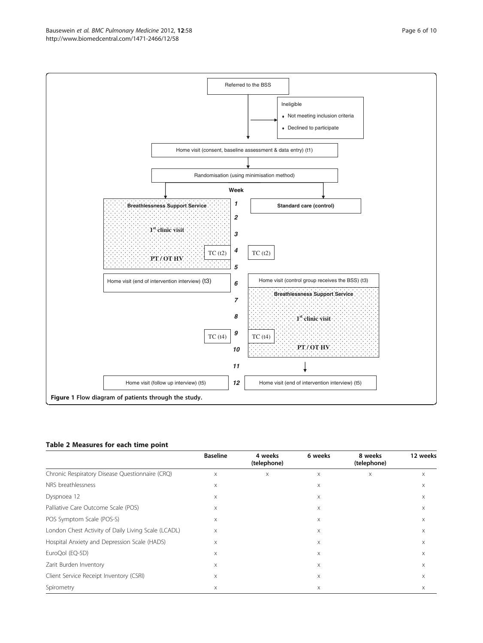<span id="page-5-0"></span>Bausewein et al. BMC Pulmonary Medicine 2012, 12:58 Page 6 of 10 http://www.biomedcentral.com/1471-2466/12/58



#### Table 2 Measures for each time point

|                                                     | <b>Baseline</b>       | 4 weeks<br>(telephone) | 6 weeks | 8 weeks<br>(telephone) | 12 weeks |
|-----------------------------------------------------|-----------------------|------------------------|---------|------------------------|----------|
| Chronic Respiratory Disease Questionnaire (CRQ)     | $\boldsymbol{\times}$ | X                      | X       | X                      | X        |
| NRS breathlessness                                  | X                     |                        | X       |                        | X        |
| Dyspnoea 12                                         | X                     |                        | X       |                        | X        |
| Palliative Care Outcome Scale (POS)                 | X                     |                        | X       |                        | X        |
| POS Symptom Scale (POS-S)                           | X                     |                        | X       |                        | X        |
| London Chest Activity of Daily Living Scale (LCADL) | $\times$              |                        | X       |                        | X        |
| Hospital Anxiety and Depression Scale (HADS)        | X                     |                        | X       |                        | X        |
| EuroQol (EQ-5D)                                     | X                     |                        | X       |                        | X        |
| Zarit Burden Inventory                              | X                     |                        | X       |                        | X        |
| Client Service Receipt Inventory (CSRI)             | X                     |                        | X       |                        | X        |
| Spirometry                                          | X                     |                        | X       |                        | X        |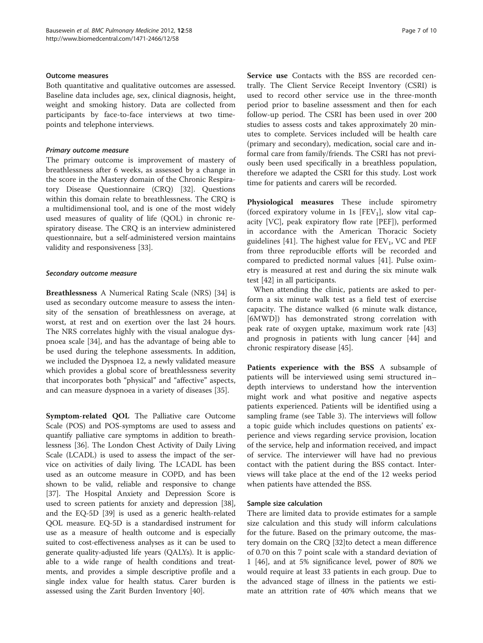#### Outcome measures

Both quantitative and qualitative outcomes are assessed. Baseline data includes age, sex, clinical diagnosis, height, weight and smoking history. Data are collected from participants by face-to-face interviews at two timepoints and telephone interviews.

# Primary outcome measure

The primary outcome is improvement of mastery of breathlessness after 6 weeks, as assessed by a change in the score in the Mastery domain of the Chronic Respiratory Disease Questionnaire (CRQ) [[32](#page-9-0)]. Questions within this domain relate to breathlessness. The CRQ is a multidimensional tool, and is one of the most widely used measures of quality of life (QOL) in chronic respiratory disease. The CRQ is an interview administered questionnaire, but a self-administered version maintains validity and responsiveness [\[33](#page-9-0)].

# Secondary outcome measure

Breathlessness A Numerical Rating Scale (NRS) [[34](#page-9-0)] is used as secondary outcome measure to assess the intensity of the sensation of breathlessness on average, at worst, at rest and on exertion over the last 24 hours. The NRS correlates highly with the visual analogue dyspnoea scale [[34\]](#page-9-0), and has the advantage of being able to be used during the telephone assessments. In addition, we included the Dyspnoea 12, a newly validated measure which provides a global score of breathlessness severity that incorporates both "physical" and "affective" aspects, and can measure dyspnoea in a variety of diseases [[35](#page-9-0)].

Symptom-related QOL The Palliative care Outcome Scale (POS) and POS-symptoms are used to assess and quantify palliative care symptoms in addition to breathlessness [[36](#page-9-0)]. The London Chest Activity of Daily Living Scale (LCADL) is used to assess the impact of the service on activities of daily living. The LCADL has been used as an outcome measure in COPD, and has been shown to be valid, reliable and responsive to change [[37](#page-9-0)]. The Hospital Anxiety and Depression Score is used to screen patients for anxiety and depression [[38](#page-9-0)], and the EQ-5D [\[39\]](#page-9-0) is used as a generic health-related QOL measure. EQ-5D is a standardised instrument for use as a measure of health outcome and is especially suited to cost-effectiveness analyses as it can be used to generate quality-adjusted life years (QALYs). It is applicable to a wide range of health conditions and treatments, and provides a simple descriptive profile and a single index value for health status. Carer burden is assessed using the Zarit Burden Inventory [\[40](#page-9-0)].

Service use Contacts with the BSS are recorded centrally. The Client Service Receipt Inventory (CSRI) is used to record other service use in the three-month period prior to baseline assessment and then for each follow-up period. The CSRI has been used in over 200 studies to assess costs and takes approximately 20 minutes to complete. Services included will be health care (primary and secondary), medication, social care and informal care from family/friends. The CSRI has not previously been used specifically in a breathless population, therefore we adapted the CSRI for this study. Lost work time for patients and carers will be recorded.

Physiological measures These include spirometry (forced expiratory volume in 1s  $[FEV<sub>1</sub>]$ , slow vital capacity [VC], peak expiratory flow rate [PEF]), performed in accordance with the American Thoracic Society guidelines [\[41\]](#page-9-0). The highest value for  $FEV<sub>1</sub>$ , VC and  $PEF$ from three reproducible efforts will be recorded and compared to predicted normal values [[41](#page-9-0)]. Pulse oximetry is measured at rest and during the six minute walk test [\[42](#page-9-0)] in all participants.

When attending the clinic, patients are asked to perform a six minute walk test as a field test of exercise capacity. The distance walked (6 minute walk distance, [6MWD]) has demonstrated strong correlation with peak rate of oxygen uptake, maximum work rate [[43](#page-9-0)] and prognosis in patients with lung cancer [[44\]](#page-9-0) and chronic respiratory disease [\[45](#page-9-0)].

Patients experience with the BSS A subsample of patients will be interviewed using semi structured in– depth interviews to understand how the intervention might work and what positive and negative aspects patients experienced. Patients will be identified using a sampling frame (see Table [3\)](#page-7-0). The interviews will follow a topic guide which includes questions on patients' experience and views regarding service provision, location of the service, help and information received, and impact of service. The interviewer will have had no previous contact with the patient during the BSS contact. Interviews will take place at the end of the 12 weeks period when patients have attended the BSS.

#### Sample size calculation

There are limited data to provide estimates for a sample size calculation and this study will inform calculations for the future. Based on the primary outcome, the mastery domain on the CRQ [\[32](#page-9-0)]to detect a mean difference of 0.70 on this 7 point scale with a standard deviation of 1 [\[46](#page-9-0)], and at 5% significance level, power of 80% we would require at least 33 patients in each group. Due to the advanced stage of illness in the patients we estimate an attrition rate of 40% which means that we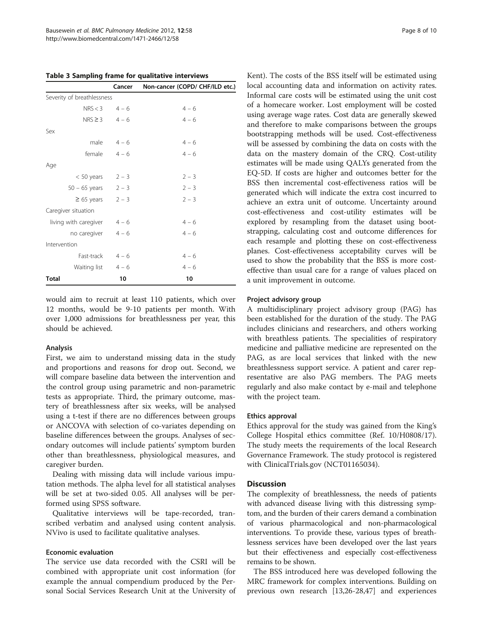<span id="page-7-0"></span>

|                             | Cancer       | Non-cancer (COPD/ CHF/ILD etc.) |
|-----------------------------|--------------|---------------------------------|
| Severity of breathlessness  |              |                                 |
| $NRS < 3$ 4 – 6             |              | $4 - 6$                         |
| $NRS \ge 3$ 4 - 6           |              | $4 - 6$                         |
| Sex                         |              |                                 |
|                             | male $4-6$   | $4 - 6$                         |
|                             | female $4-6$ | $4 - 6$                         |
| Age                         |              |                                 |
| $< 50$ years $2 - 3$        |              | $2 - 3$                         |
| $50 - 65$ years $2 - 3$     |              | $2 - 3$                         |
| $\geq 65$ years $2 - 3$     |              | $2 - 3$                         |
| Caregiver situation         |              |                                 |
| living with caregiver $4-6$ |              | $4 - 6$                         |
| no caregiver $4-6$          |              | $4 - 6$                         |
| Intervention                |              |                                 |
| Fast-track $4-6$            |              | $4 - 6$                         |
| Waiting list $4-6$          |              | $4 - 6$                         |
| <b>Total</b>                | 10           | 10                              |

would aim to recruit at least 110 patients, which over 12 months, would be 9-10 patients per month. With over 1,000 admissions for breathlessness per year, this should be achieved.

#### Analysis

First, we aim to understand missing data in the study and proportions and reasons for drop out. Second, we will compare baseline data between the intervention and the control group using parametric and non-parametric tests as appropriate. Third, the primary outcome, mastery of breathlessness after six weeks, will be analysed using a t-test if there are no differences between groups or ANCOVA with selection of co-variates depending on baseline differences between the groups. Analyses of secondary outcomes will include patients' symptom burden other than breathlessness, physiological measures, and caregiver burden.

Dealing with missing data will include various imputation methods. The alpha level for all statistical analyses will be set at two-sided 0.05. All analyses will be performed using SPSS software.

Qualitative interviews will be tape-recorded, transcribed verbatim and analysed using content analysis. NVivo is used to facilitate qualitative analyses.

#### Economic evaluation

The service use data recorded with the CSRI will be combined with appropriate unit cost information (for example the annual compendium produced by the Personal Social Services Research Unit at the University of Kent). The costs of the BSS itself will be estimated using local accounting data and information on activity rates. Informal care costs will be estimated using the unit cost of a homecare worker. Lost employment will be costed using average wage rates. Cost data are generally skewed and therefore to make comparisons between the groups bootstrapping methods will be used. Cost-effectiveness will be assessed by combining the data on costs with the data on the mastery domain of the CRQ. Cost-utility estimates will be made using QALYs generated from the EQ-5D. If costs are higher and outcomes better for the BSS then incremental cost-effectiveness ratios will be generated which will indicate the extra cost incurred to achieve an extra unit of outcome. Uncertainty around cost-effectiveness and cost-utility estimates will be explored by resampling from the dataset using bootstrapping, calculating cost and outcome differences for each resample and plotting these on cost-effectiveness planes. Cost-effectiveness acceptability curves will be used to show the probability that the BSS is more costeffective than usual care for a range of values placed on a unit improvement in outcome.

#### Project advisory group

A multidisciplinary project advisory group (PAG) has been established for the duration of the study. The PAG includes clinicians and researchers, and others working with breathless patients. The specialities of respiratory medicine and palliative medicine are represented on the PAG, as are local services that linked with the new breathlessness support service. A patient and carer representative are also PAG members. The PAG meets regularly and also make contact by e-mail and telephone with the project team.

# Ethics approval

Ethics approval for the study was gained from the King's College Hospital ethics committee (Ref. 10/H0808/17). The study meets the requirements of the local Research Governance Framework. The study protocol is registered with ClinicalTrials.gov (NCT01165034).

#### **Discussion**

The complexity of breathlessness, the needs of patients with advanced disease living with this distressing symptom, and the burden of their carers demand a combination of various pharmacological and non-pharmacological interventions. To provide these, various types of breathlessness services have been developed over the last years but their effectiveness and especially cost-effectiveness remains to be shown.

The BSS introduced here was developed following the MRC framework for complex interventions. Building on previous own research [\[13,](#page-8-0)[26-28,47](#page-9-0)] and experiences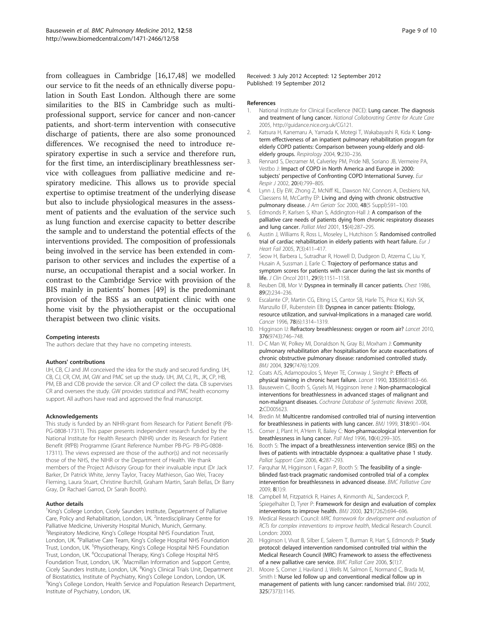<span id="page-8-0"></span>from colleagues in Cambridge [16,17[,48](#page-9-0)] we modelled our service to fit the needs of an ethnically diverse population in South East London. Although there are some similarities to the BIS in Cambridge such as multiprofessional support, service for cancer and non-cancer patients, and short-term intervention with consecutive discharge of patients, there are also some pronounced differences. We recognised the need to introduce respiratory expertise in such a service and therefore run, for the first time, an interdisciplinary breathlessness service with colleagues from palliative medicine and respiratory medicine. This allows us to provide special expertise to optimise treatment of the underlying disease but also to include physiological measures in the assessment of patients and the evaluation of the service such as lung function and exercise capacity to better describe the sample and to understand the potential effects of the interventions provided. The composition of professionals being involved in the service has been extended in comparison to other services and includes the expertise of a nurse, an occupational therapist and a social worker. In contrast to the Cambridge Service with provision of the BIS mainly in patients' homes [\[49](#page-9-0)] is the predominant provision of the BSS as an outpatient clinic with one home visit by the physiotherapist or the occupational therapist between two clinic visits.

#### Competing interests

The authors declare that they have no competing interests.

#### Authors' contributions

IJH, CB, CJ and JM conceived the idea for the study and secured funding. IJH, CB, CJ, CR, CM, JM, GW and PMC set up the study. IJH, JM, CJ, PL, JK, CP, HB, PM, EB and CDB provide the service. CR and CP collect the data. CB supervises CR and oversees the study. GW provides statistical and PMC health economy support. All authors have read and approved the final manuscript.

#### Acknowledgements

This study is funded by an NIHR-grant from Research for Patient Benefit (PB-PG-0808-17311). This paper presents independent research funded by the National Institute for Health Research (NIHR) under its Research for Patient Benefit (RfPB) Programme (Grant Reference Number PB-PG- PB-PG-0808- 17311). The views expressed are those of the author(s) and not necessarily those of the NHS, the NIHR or the Department of Health. We thank members of the Project Advisory Group for their invaluable input (Dr Jack Barker, Dr Patrick White, Jenny Taylor, Tracey Mathieson, Gao Wei, Tracey Fleming, Laura Stuart, Christine Burchill, Graham Martin, Sarah Bellas, Dr Barry Gray, Dr Rachael Garrod, Dr Sarah Booth).

#### Author details

<sup>1</sup>King's College London, Cicely Saunders Institute, Department of Palliative Care, Policy and Rehabilitation, London, UK. <sup>2</sup>Interdisciplinary Centre for Palliative Medicine, University Hospital Munich, Munich, Germany. <sup>3</sup>Respiratory Medicine, King's College Hospital NHS Foundation Trust, London, UK. <sup>4</sup>Palliative Care Team, King's College Hospital NHS Foundation Trust, London, UK. <sup>5</sup>Physiotherapy, King's College Hospital NHS Foundation Trust, London, UK. <sup>6</sup>Occupational Therapy, King's College Hospital NHS Foundation Trust, London, UK. <sup>7</sup>Macmillan Information and Support Centre, Cicely Saunders Institute, London, UK. <sup>8</sup>King's Clinical Trials Unit, Department of Biostatistics, Institute of Psychiatry, King's College London, London, UK. <sup>9</sup> <sup>9</sup>King's College London, Health Service and Population Research Department, Institute of Psychiatry, London, UK.

#### Received: 3 July 2012 Accepted: 12 September 2012 Published: 19 September 2012

#### References

- 1. National Institute for Clinical Excellence (NICE): Lung cancer. The diagnosis and treatment of lung cancer. National Collaborating Centre for Acute Care 2005, http://guidance.nice.org.uk/CG121.
- Katsura H, Kanemaru A, Yamada K, Motegi T, Wakabayashi R, Kida K: Longterm effectiveness of an inpatient pulmonary rehabilitation program for elderly COPD patients: Comparison between young-elderly and oldelderly groups. Respirology 2004, 9:230–236.
- 3. Rennard S, Decramer M, Calverley PM, Pride NB, Soriano JB, Vermeire PA, Vestbo J: Impact of COPD in North America and Europe in 2000: subjects' perspective of Confronting COPD International Survey. Eur Respir J 2002, 20(4):799–805.
- 4. Lynn J, Ely EW, Zhong Z, McNiff KL, Dawson NV, Connors A, Desbiens NA, Claessens M, McCarthy EP: Living and dying with chronic obstructive pulmonary disease. J Am Geriatr Soc 2000, 48(5 Suppl):S91-100.
- 5. Edmonds P, Karlsen S, Khan S, Addington-Hall J: A comparison of the palliative care needs of patients dying from chronic respiratory diseases and lung cancer. Palliat Med 2001, 15(4):287–295.
- 6. Austin J, Williams R, Ross L, Moseley L, Hutchison S: Randomised controlled trial of cardiac rehabilitation in elderly patients with heart failure. Eur J Heart Fail 2005, 7(3):411–417.
- 7. Seow H, Barbera L, Sutradhar R, Howell D, Dudgeon D, Atzema C, Liu Y, Husain A, Sussman J, Earle C: Trajectory of performance status and symptom scores for patients with cancer during the last six months of life. J Clin Oncol 2011, 29(9):1151–1158.
- 8. Reuben DB, Mor V: Dyspnea in terminally ill cancer patients. Chest 1986, 89(2):234–236.
- 9. Escalante CP, Martin CG, Elting LS, Cantor SB, Harle TS, Price KJ, Kish SK, Manzullo EF, Rubenstein EB: Dyspnea in cancer patients: Etiology, resource utilization, and survival-Implications in a managed care world. Cancer 1996, 78(6):1314–1319.
- 10. Higginson IJ: Refractory breathlessness: oxygen or room air? Lancet 2010, 376(9743):746–748.
- 11. D-C Man W, Polkey MI, Donaldson N, Gray BJ, Moxham J: Community pulmonary rehabilitation after hospitalisation for acute exacerbations of chronic obstructive pulmonary disease: randomised controlled study. BMJ 2004, 329(7476):1209.
- 12. Coats AJS, Adamopoulos S, Meyer TE, Conway J, Sleight P: Effects of physical training in chronic heart failure. Lancet 1990, 335(8681):63–66.
- 13. Bausewein C, Booth S, Gysels M, Higginson Irene J: Non-pharmacological interventions for breathlessness in advanced stages of malignant and non-malignant diseases. Cochrane Database of Systematic Reviews 2008, 2:CD005623.
- 14. Bredin M: Multicentre randomised controlled trial of nursing intervention for breathlessness in patients with lung cancer. BMJ 1999, 318:901–904.
- 15. Corner J, Plant H, A'Hern R, Bailey C: Non-pharmacological intervention for breathlessness in lung cancer. Pall Med 1996, 10(4):299–305.
- 16. Booth S: The impact of a breathlessness intervention service (BIS) on the lives of patients with intractable dyspnoea: a qualitative phase 1 study. Palliat Support Care 2006, 4:287-293.
- 17. Farquhar M, Higginson I, Fagan P, Booth S: The feasibility of a singleblinded fast-track pragmatic randomised controlled trial of a complex intervention for breathlessness in advanced disease. BMC Palliative Care 2009, 8(1):9.
- 18. Campbell M, Fitzpatrick R, Haines A, Kinmonth AL, Sandercock P, Spiegelhalter D, Tyrer P: Framework for design and evaluation of complex interventions to improve health. BMJ 2000, 321(7262):694–696.
- 19. Medical Research Council: MRC framework for development and evaluation of RCTs for complex interventions to improve health, Medical Research Council. London: 2000.
- 20. Higginson I, Vivat B, Silber E, Saleem T, Burman R, Hart S, Edmonds P: Study protocol: delayed intervention randomised controlled trial within the Medical Research Council (MRC) Framework to assess the effectiveness of a new palliative care service. BMC Palliat Care 2006, 5(1):7.
- 21. Moore S, Corner J, Haviland J, Wells M, Salmon E, Normand C, Brada M, Smith I: Nurse led follow up and conventional medical follow up in management of patients with lung cancer: randomised trial. BMJ 2002, 325(7373):1145.